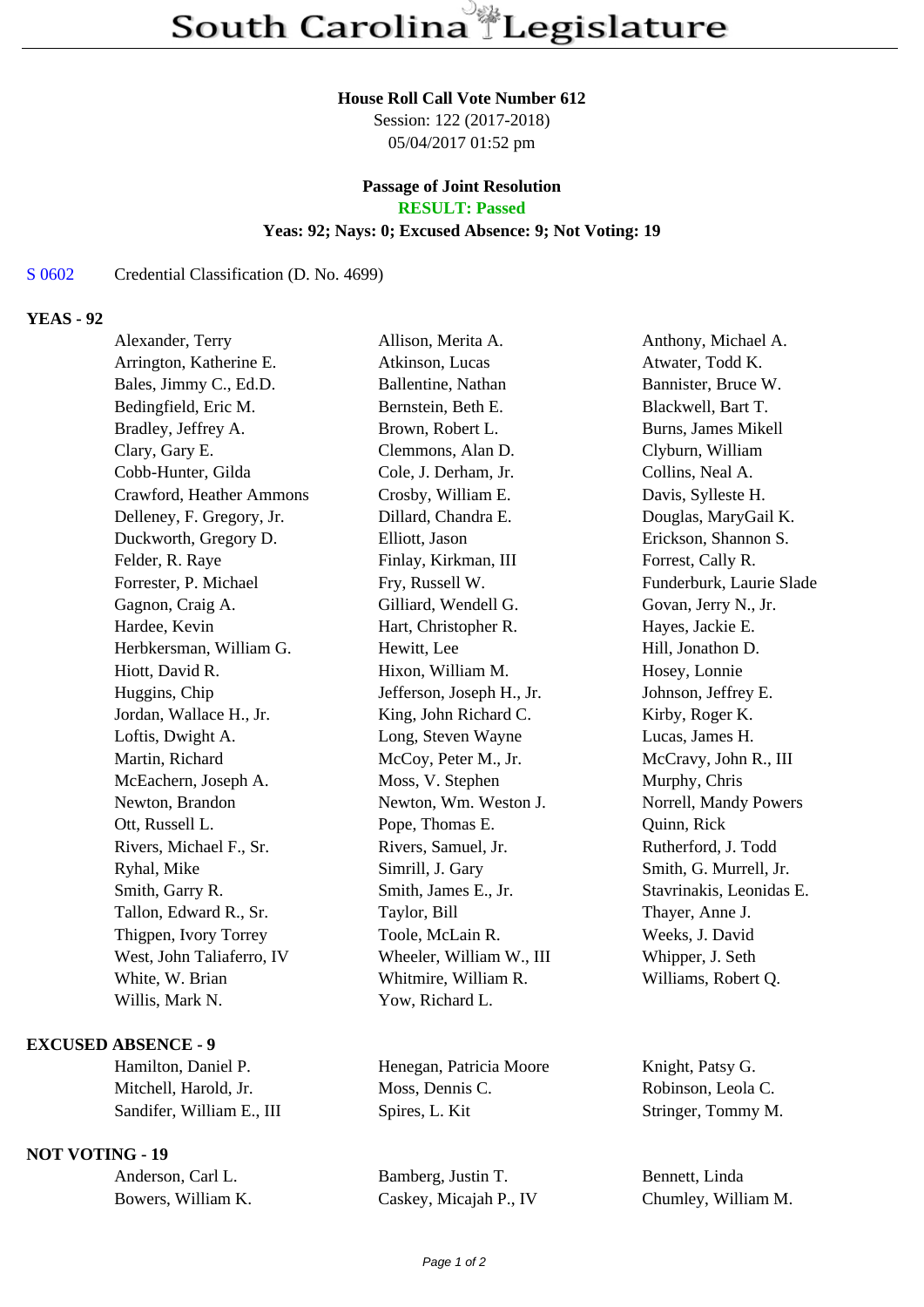#### **House Roll Call Vote Number 612**

Session: 122 (2017-2018) 05/04/2017 01:52 pm

# **Passage of Joint Resolution**

**RESULT: Passed**

# **Yeas: 92; Nays: 0; Excused Absence: 9; Not Voting: 19**

## S 0602 Credential Classification (D. No. 4699)

# **YEAS - 92**

| Alexander, Terry          | Allison, Merita A.        | Anthony, Michael A.      |
|---------------------------|---------------------------|--------------------------|
| Arrington, Katherine E.   | Atkinson, Lucas           | Atwater, Todd K.         |
| Bales, Jimmy C., Ed.D.    | Ballentine, Nathan        | Bannister, Bruce W.      |
| Bedingfield, Eric M.      | Bernstein, Beth E.        | Blackwell, Bart T.       |
| Bradley, Jeffrey A.       | Brown, Robert L.          | Burns, James Mikell      |
| Clary, Gary E.            | Clemmons, Alan D.         | Clyburn, William         |
| Cobb-Hunter, Gilda        | Cole, J. Derham, Jr.      | Collins, Neal A.         |
| Crawford, Heather Ammons  | Crosby, William E.        | Davis, Sylleste H.       |
| Delleney, F. Gregory, Jr. | Dillard, Chandra E.       | Douglas, MaryGail K.     |
| Duckworth, Gregory D.     | Elliott, Jason            | Erickson, Shannon S.     |
| Felder, R. Raye           | Finlay, Kirkman, III      | Forrest, Cally R.        |
| Forrester, P. Michael     | Fry, Russell W.           | Funderburk, Laurie Slade |
| Gagnon, Craig A.          | Gilliard, Wendell G.      | Govan, Jerry N., Jr.     |
| Hardee, Kevin             | Hart, Christopher R.      | Hayes, Jackie E.         |
| Herbkersman, William G.   | Hewitt, Lee               | Hill, Jonathon D.        |
| Hiott, David R.           | Hixon, William M.         | Hosey, Lonnie            |
| Huggins, Chip             | Jefferson, Joseph H., Jr. | Johnson, Jeffrey E.      |
| Jordan, Wallace H., Jr.   | King, John Richard C.     | Kirby, Roger K.          |
| Loftis, Dwight A.         | Long, Steven Wayne        | Lucas, James H.          |
| Martin, Richard           | McCoy, Peter M., Jr.      | McCravy, John R., III    |
| McEachern, Joseph A.      | Moss, V. Stephen          | Murphy, Chris            |
| Newton, Brandon           | Newton, Wm. Weston J.     | Norrell, Mandy Powers    |
| Ott, Russell L.           | Pope, Thomas E.           | Quinn, Rick              |
| Rivers, Michael F., Sr.   | Rivers, Samuel, Jr.       | Rutherford, J. Todd      |
| Ryhal, Mike               | Simrill, J. Gary          | Smith, G. Murrell, Jr.   |
| Smith, Garry R.           | Smith, James E., Jr.      | Stavrinakis, Leonidas E. |
| Tallon, Edward R., Sr.    | Taylor, Bill              | Thayer, Anne J.          |
| Thigpen, Ivory Torrey     | Toole, McLain R.          | Weeks, J. David          |
| West, John Taliaferro, IV | Wheeler, William W., III  | Whipper, J. Seth         |
| White, W. Brian           | Whitmire, William R.      | Williams, Robert Q.      |
| Willis, Mark N.           | Yow, Richard L.           |                          |
|                           |                           |                          |

### **EXCUSED ABSENCE - 9**

# **NOT VOTING - 19**

Hamilton, Daniel P. **Henegan, Patricia Moore** Knight, Patsy G. Mitchell, Harold, Jr. Moss, Dennis C. Robinson, Leola C. Sandifer, William E., III Spires, L. Kit Stringer, Tommy M.

Anderson, Carl L. Bamberg, Justin T. Bennett, Linda Bowers, William K. Caskey, Micajah P., IV Chumley, William M.